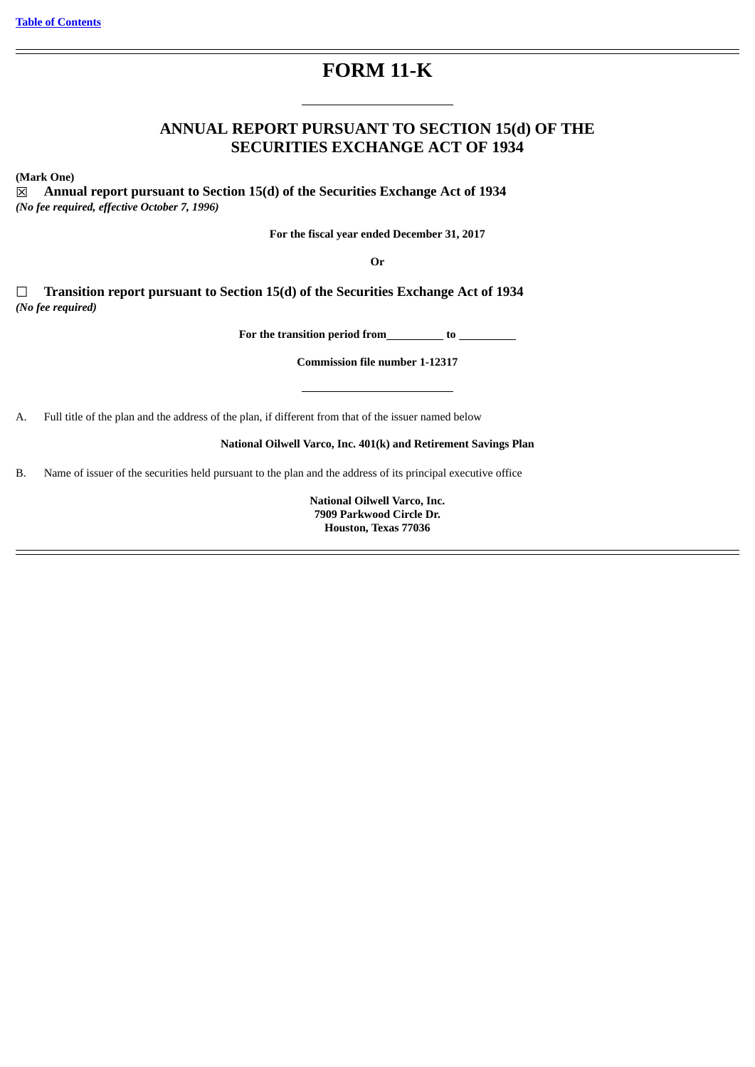# **FORM 11-K**

## **ANNUAL REPORT PURSUANT TO SECTION 15(d) OF THE SECURITIES EXCHANGE ACT OF 1934**

**(Mark One)**

☒ **Annual report pursuant to Section 15(d) of the Securities Exchange Act of 1934** *(No fee required, effective October 7, 1996)*

**For the fiscal year ended December 31, 2017**

**Or**

☐ **Transition report pursuant to Section 15(d) of the Securities Exchange Act of 1934** *(No fee required)*

**For the transition period from to**

**Commission file number 1-12317**

A. Full title of the plan and the address of the plan, if different from that of the issuer named below

**National Oilwell Varco, Inc. 401(k) and Retirement Savings Plan**

B. Name of issuer of the securities held pursuant to the plan and the address of its principal executive office

**National Oilwell Varco, Inc. 7909 Parkwood Circle Dr. Houston, Texas 77036**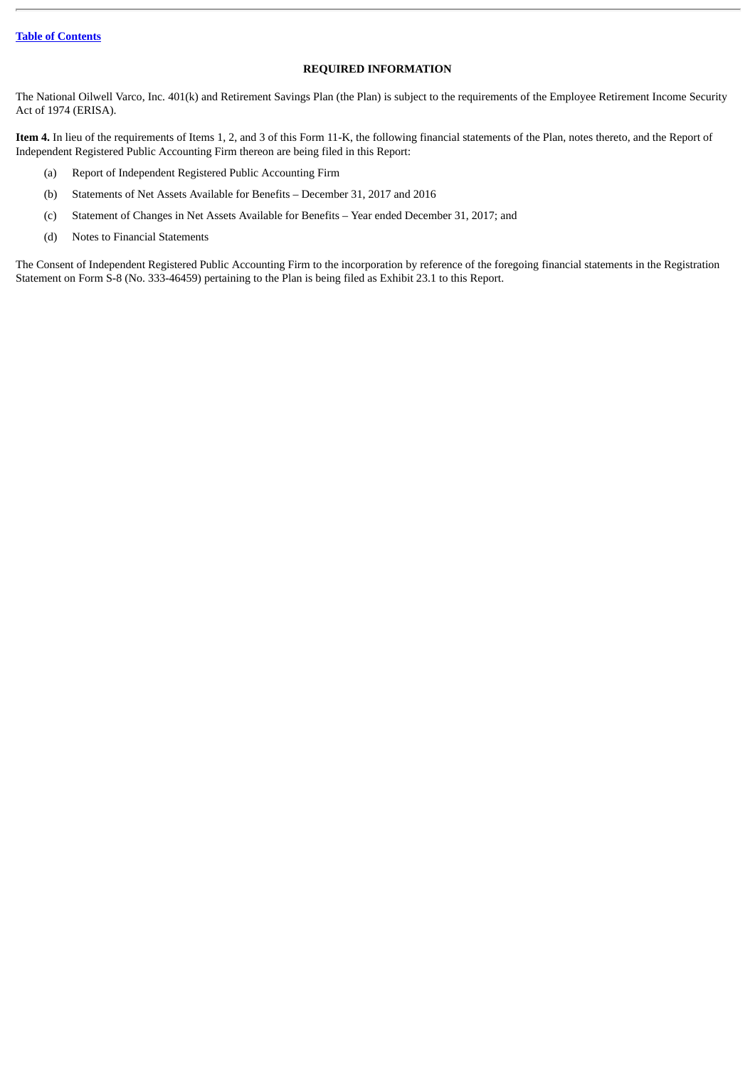## **REQUIRED INFORMATION**

The National Oilwell Varco, Inc. 401(k) and Retirement Savings Plan (the Plan) is subject to the requirements of the Employee Retirement Income Security Act of 1974 (ERISA).

**Item 4.** In lieu of the requirements of Items 1, 2, and 3 of this Form 11-K, the following financial statements of the Plan, notes thereto, and the Report of Independent Registered Public Accounting Firm thereon are being filed in this Report:

- (a) Report of Independent Registered Public Accounting Firm
- (b) Statements of Net Assets Available for Benefits December 31, 2017 and 2016
- (c) Statement of Changes in Net Assets Available for Benefits Year ended December 31, 2017; and
- (d) Notes to Financial Statements

The Consent of Independent Registered Public Accounting Firm to the incorporation by reference of the foregoing financial statements in the Registration Statement on Form S-8 (No. 333-46459) pertaining to the Plan is being filed as Exhibit 23.1 to this Report.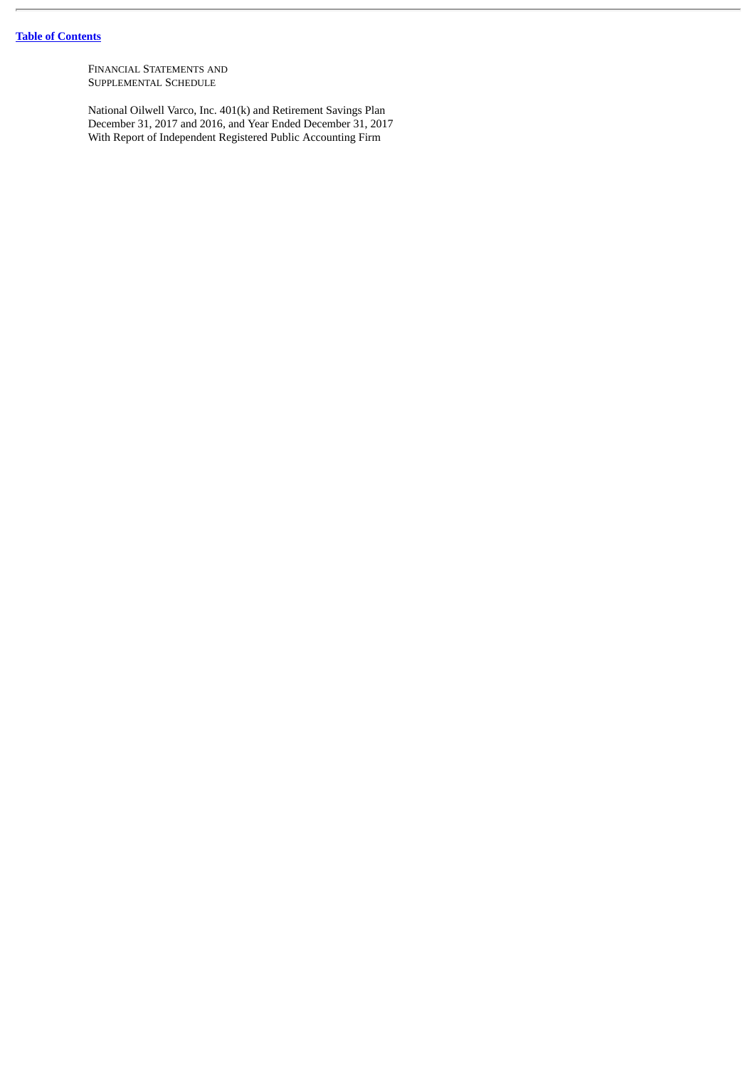FINANCIAL STATEMENTS AND SUPPLEMENTAL SCHEDULE

National Oilwell Varco, Inc. 401(k) and Retirement Savings Plan December 31, 2017 and 2016, and Year Ended December 31, 2017 With Report of Independent Registered Public Accounting Firm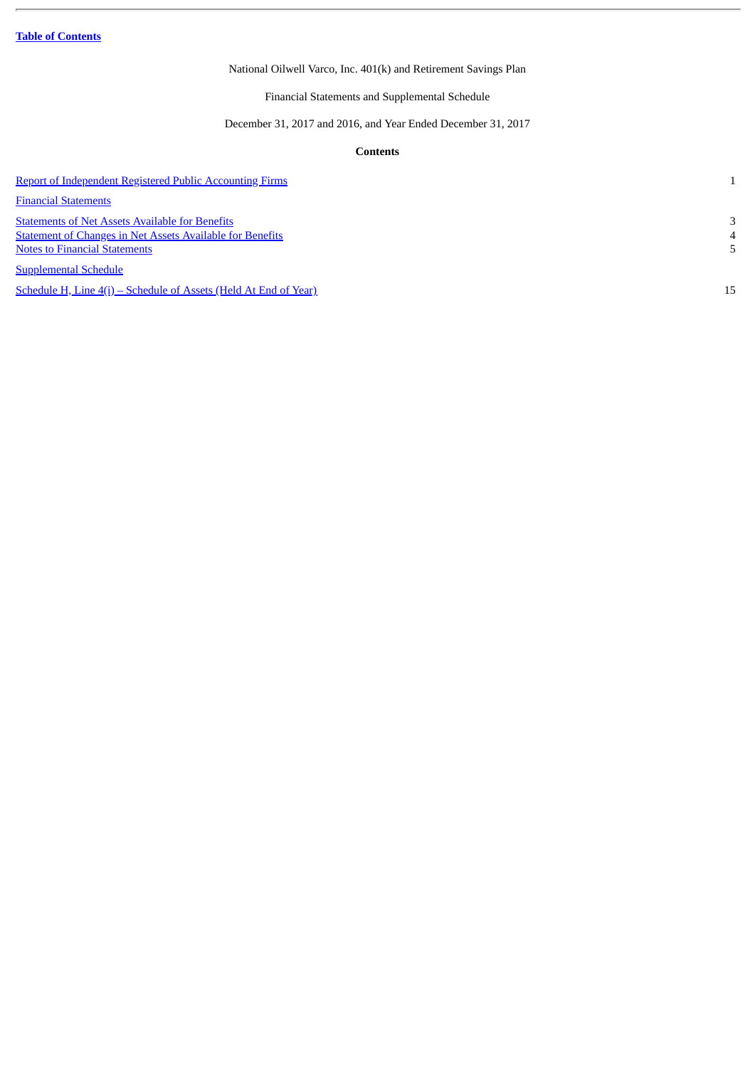<span id="page-3-1"></span>**Table of [Contents](#page-3-0)**

## National Oilwell Varco, Inc. 401(k) and Retirement Savings Plan

Financial Statements and Supplemental Schedule

December 31, 2017 and 2016, and Year Ended December 31, 2017

## **Contents**

<span id="page-3-0"></span>

| <b>Report of Independent Registered Public Accounting Firms</b>                                                                                                    |        |
|--------------------------------------------------------------------------------------------------------------------------------------------------------------------|--------|
| <b>Financial Statements</b>                                                                                                                                        |        |
| <b>Statements of Net Assets Available for Benefits</b><br><b>Statement of Changes in Net Assets Available for Benefits</b><br><b>Notes to Financial Statements</b> | 3<br>4 |
| <b>Supplemental Schedule</b>                                                                                                                                       |        |
| <u>Schedule H, Line 4(i) – Schedule of Assets (Held At End of Year)</u>                                                                                            | 15     |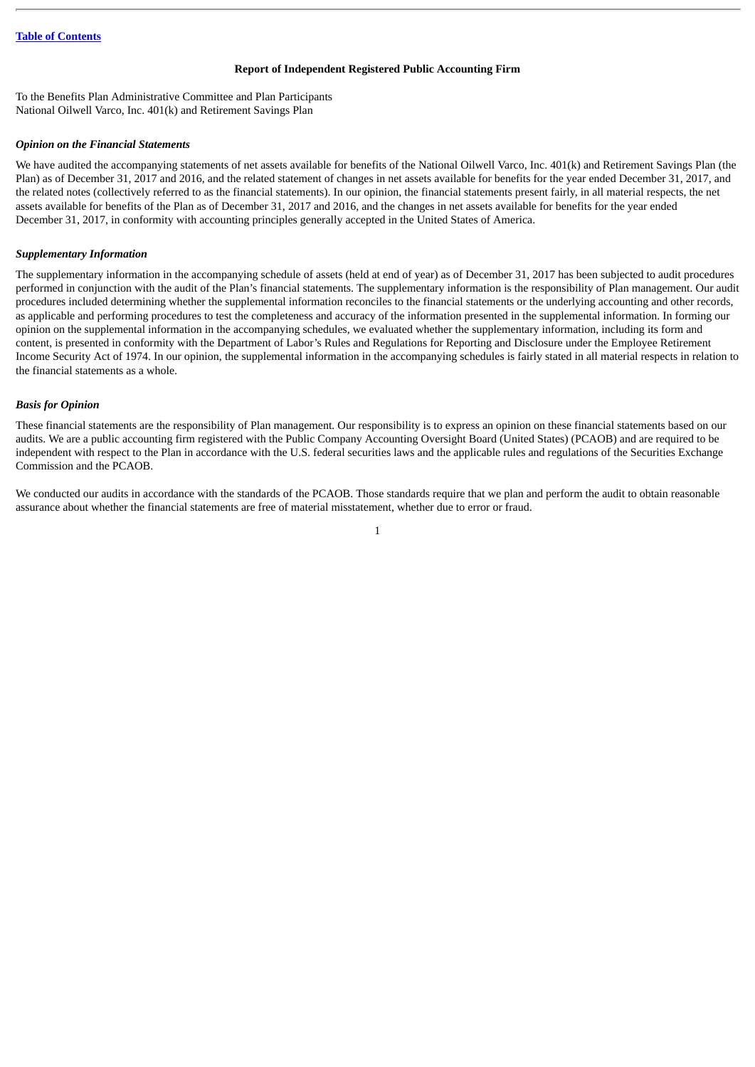#### **Report of Independent Registered Public Accounting Firm**

<span id="page-4-0"></span>To the Benefits Plan Administrative Committee and Plan Participants National Oilwell Varco, Inc. 401(k) and Retirement Savings Plan

### *Opinion on the Financial Statements*

We have audited the accompanying statements of net assets available for benefits of the National Oilwell Varco, Inc. 401(k) and Retirement Savings Plan (the Plan) as of December 31, 2017 and 2016, and the related statement of changes in net assets available for benefits for the year ended December 31, 2017, and the related notes (collectively referred to as the financial statements). In our opinion, the financial statements present fairly, in all material respects, the net assets available for benefits of the Plan as of December 31, 2017 and 2016, and the changes in net assets available for benefits for the year ended December 31, 2017, in conformity with accounting principles generally accepted in the United States of America.

## *Supplementary Information*

The supplementary information in the accompanying schedule of assets (held at end of year) as of December 31, 2017 has been subjected to audit procedures performed in conjunction with the audit of the Plan's financial statements. The supplementary information is the responsibility of Plan management. Our audit procedures included determining whether the supplemental information reconciles to the financial statements or the underlying accounting and other records, as applicable and performing procedures to test the completeness and accuracy of the information presented in the supplemental information. In forming our opinion on the supplemental information in the accompanying schedules, we evaluated whether the supplementary information, including its form and content, is presented in conformity with the Department of Labor's Rules and Regulations for Reporting and Disclosure under the Employee Retirement Income Security Act of 1974. In our opinion, the supplemental information in the accompanying schedules is fairly stated in all material respects in relation to the financial statements as a whole.

#### *Basis for Opinion*

These financial statements are the responsibility of Plan management. Our responsibility is to express an opinion on these financial statements based on our audits. We are a public accounting firm registered with the Public Company Accounting Oversight Board (United States) (PCAOB) and are required to be independent with respect to the Plan in accordance with the U.S. federal securities laws and the applicable rules and regulations of the Securities Exchange Commission and the PCAOB.

We conducted our audits in accordance with the standards of the PCAOB. Those standards require that we plan and perform the audit to obtain reasonable assurance about whether the financial statements are free of material misstatement, whether due to error or fraud.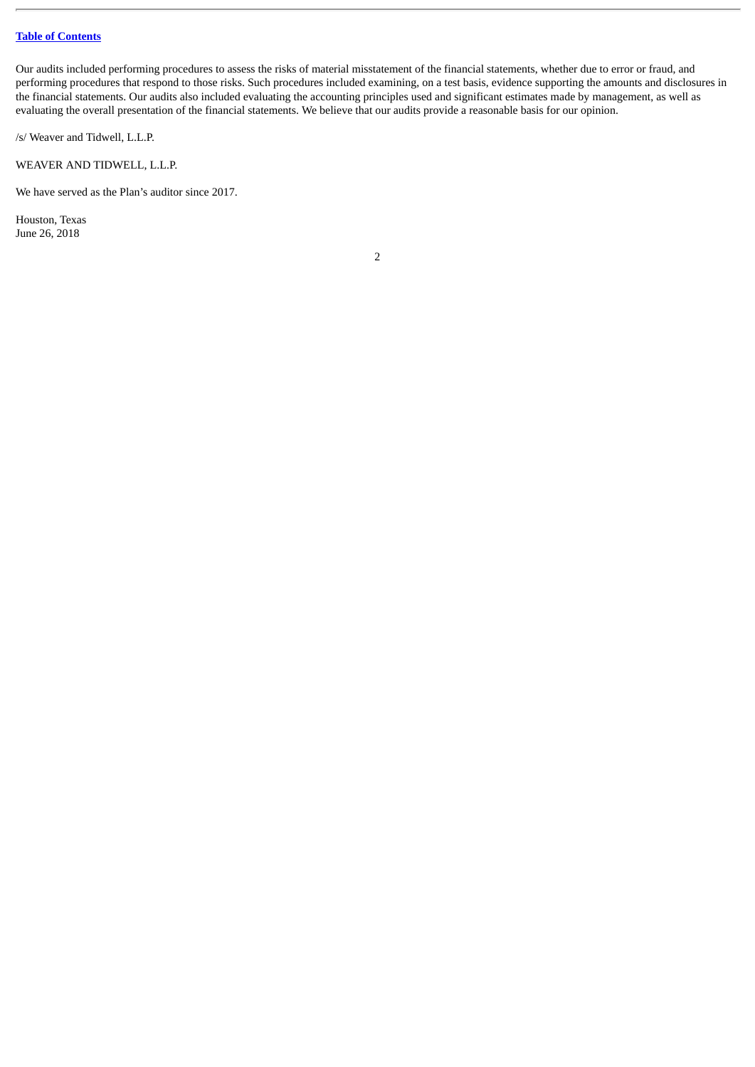## **Table of [Contents](#page-3-0)**

Our audits included performing procedures to assess the risks of material misstatement of the financial statements, whether due to error or fraud, and performing procedures that respond to those risks. Such procedures included examining, on a test basis, evidence supporting the amounts and disclosures in the financial statements. Our audits also included evaluating the accounting principles used and significant estimates made by management, as well as evaluating the overall presentation of the financial statements. We believe that our audits provide a reasonable basis for our opinion.

/s/ Weaver and Tidwell, L.L.P.

WEAVER AND TIDWELL, L.L.P.

We have served as the Plan's auditor since 2017.

Houston, Texas June 26, 2018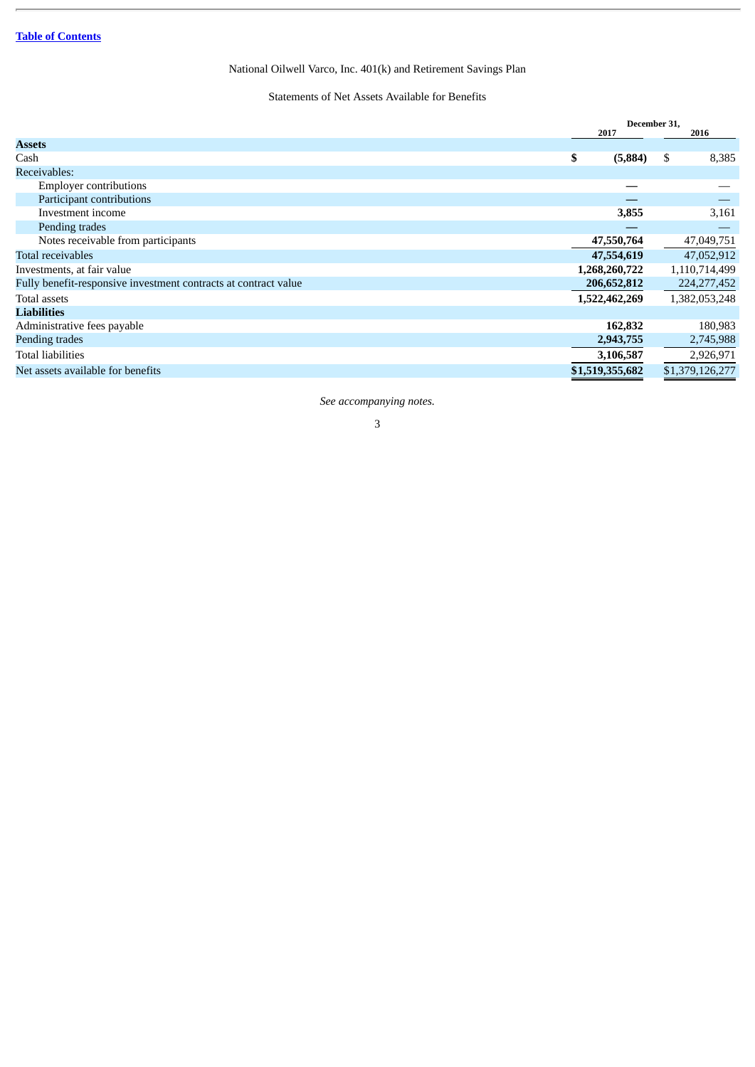## Statements of Net Assets Available for Benefits

<span id="page-6-0"></span>

| <b>Assets</b><br>\$<br>8,385<br>(5,884)<br>\$<br>Cash<br>Receivables:<br><b>Employer contributions</b><br>Participant contributions<br>Investment income<br>3,855<br>3,161<br>Pending trades<br>47,550,764<br>Notes receivable from participants<br>47,049,751<br>Total receivables<br>47,554,619<br>Investments, at fair value<br>1,110,714,499<br>1,268,260,722<br>Fully benefit-responsive investment contracts at contract value<br>224, 277, 452<br>206,652,812<br>Total assets<br>1,522,462,269<br>1,382,053,248<br><b>Liabilities</b><br>Administrative fees payable<br>162,832<br>2,943,755<br>Total liabilities<br>3,106,587<br>2,926,971<br>\$1,379,126,277<br>\$1,519,355,682<br>Net assets available for benefits |                | December 31, |      |            |
|-------------------------------------------------------------------------------------------------------------------------------------------------------------------------------------------------------------------------------------------------------------------------------------------------------------------------------------------------------------------------------------------------------------------------------------------------------------------------------------------------------------------------------------------------------------------------------------------------------------------------------------------------------------------------------------------------------------------------------|----------------|--------------|------|------------|
|                                                                                                                                                                                                                                                                                                                                                                                                                                                                                                                                                                                                                                                                                                                               |                |              | 2017 | 2016       |
|                                                                                                                                                                                                                                                                                                                                                                                                                                                                                                                                                                                                                                                                                                                               |                |              |      |            |
|                                                                                                                                                                                                                                                                                                                                                                                                                                                                                                                                                                                                                                                                                                                               |                |              |      |            |
|                                                                                                                                                                                                                                                                                                                                                                                                                                                                                                                                                                                                                                                                                                                               |                |              |      |            |
|                                                                                                                                                                                                                                                                                                                                                                                                                                                                                                                                                                                                                                                                                                                               |                |              |      |            |
|                                                                                                                                                                                                                                                                                                                                                                                                                                                                                                                                                                                                                                                                                                                               |                |              |      |            |
|                                                                                                                                                                                                                                                                                                                                                                                                                                                                                                                                                                                                                                                                                                                               |                |              |      |            |
|                                                                                                                                                                                                                                                                                                                                                                                                                                                                                                                                                                                                                                                                                                                               |                |              |      |            |
|                                                                                                                                                                                                                                                                                                                                                                                                                                                                                                                                                                                                                                                                                                                               |                |              |      |            |
|                                                                                                                                                                                                                                                                                                                                                                                                                                                                                                                                                                                                                                                                                                                               |                |              |      | 47,052,912 |
|                                                                                                                                                                                                                                                                                                                                                                                                                                                                                                                                                                                                                                                                                                                               |                |              |      |            |
|                                                                                                                                                                                                                                                                                                                                                                                                                                                                                                                                                                                                                                                                                                                               |                |              |      |            |
|                                                                                                                                                                                                                                                                                                                                                                                                                                                                                                                                                                                                                                                                                                                               |                |              |      |            |
|                                                                                                                                                                                                                                                                                                                                                                                                                                                                                                                                                                                                                                                                                                                               |                |              |      |            |
|                                                                                                                                                                                                                                                                                                                                                                                                                                                                                                                                                                                                                                                                                                                               |                |              |      | 180,983    |
|                                                                                                                                                                                                                                                                                                                                                                                                                                                                                                                                                                                                                                                                                                                               | Pending trades |              |      | 2,745,988  |
|                                                                                                                                                                                                                                                                                                                                                                                                                                                                                                                                                                                                                                                                                                                               |                |              |      |            |
|                                                                                                                                                                                                                                                                                                                                                                                                                                                                                                                                                                                                                                                                                                                               |                |              |      |            |

*See accompanying notes.*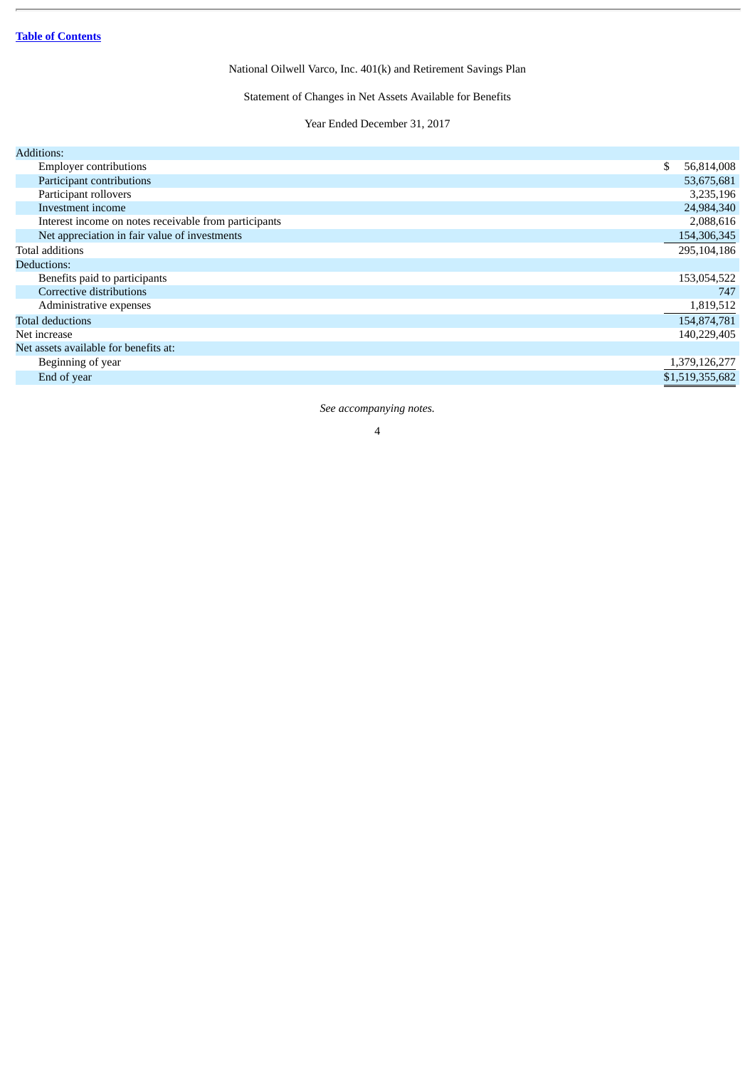Statement of Changes in Net Assets Available for Benefits

Year Ended December 31, 2017

<span id="page-7-0"></span>

| <b>Additions:</b>                                     |                  |
|-------------------------------------------------------|------------------|
| <b>Employer contributions</b>                         | \$<br>56,814,008 |
| Participant contributions                             | 53,675,681       |
| Participant rollovers                                 | 3,235,196        |
| Investment income                                     | 24,984,340       |
| Interest income on notes receivable from participants | 2,088,616        |
| Net appreciation in fair value of investments         | 154,306,345      |
| Total additions                                       | 295,104,186      |
| Deductions:                                           |                  |
| Benefits paid to participants                         | 153,054,522      |
| Corrective distributions                              | 747              |
| Administrative expenses                               | 1,819,512        |
| <b>Total deductions</b>                               | 154,874,781      |
| Net increase                                          | 140,229,405      |
| Net assets available for benefits at:                 |                  |
| Beginning of year                                     | 1,379,126,277    |
| End of year                                           | \$1,519,355,682  |
|                                                       |                  |

*See accompanying notes.*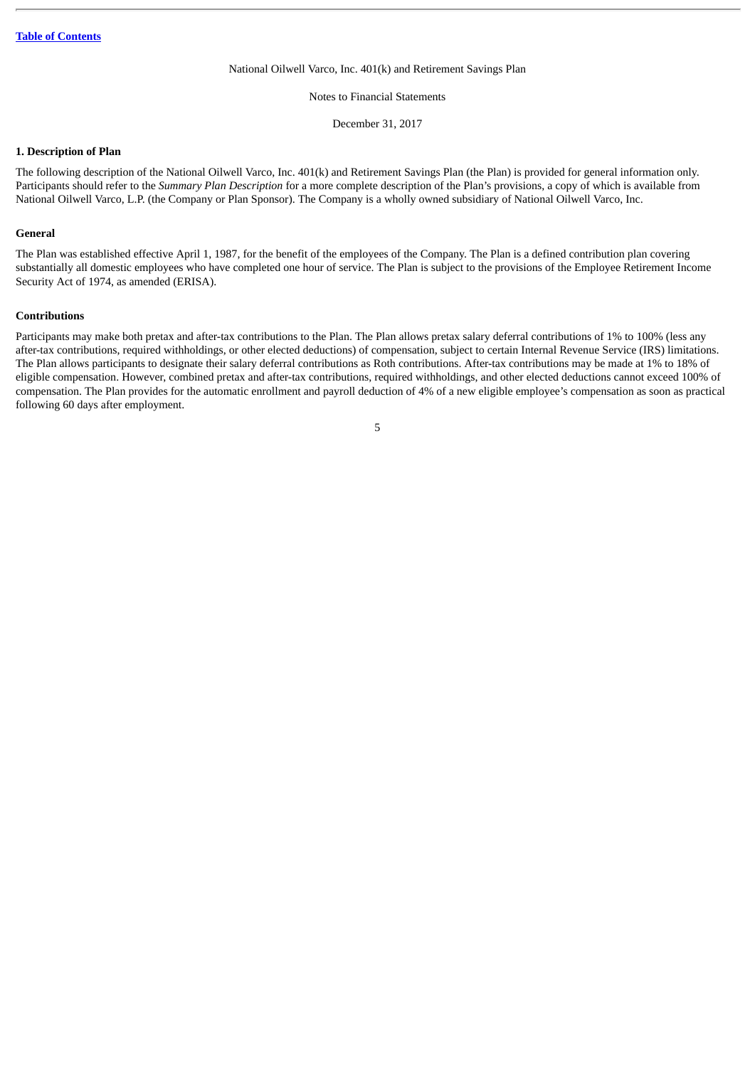Notes to Financial Statements

December 31, 2017

## <span id="page-8-0"></span>**1. Description of Plan**

The following description of the National Oilwell Varco, Inc. 401(k) and Retirement Savings Plan (the Plan) is provided for general information only. Participants should refer to the *Summary Plan Description* for a more complete description of the Plan's provisions, a copy of which is available from National Oilwell Varco, L.P. (the Company or Plan Sponsor). The Company is a wholly owned subsidiary of National Oilwell Varco, Inc.

#### **General**

The Plan was established effective April 1, 1987, for the benefit of the employees of the Company. The Plan is a defined contribution plan covering substantially all domestic employees who have completed one hour of service. The Plan is subject to the provisions of the Employee Retirement Income Security Act of 1974, as amended (ERISA).

#### **Contributions**

Participants may make both pretax and after-tax contributions to the Plan. The Plan allows pretax salary deferral contributions of 1% to 100% (less any after-tax contributions, required withholdings, or other elected deductions) of compensation, subject to certain Internal Revenue Service (IRS) limitations. The Plan allows participants to designate their salary deferral contributions as Roth contributions. After-tax contributions may be made at 1% to 18% of eligible compensation. However, combined pretax and after-tax contributions, required withholdings, and other elected deductions cannot exceed 100% of compensation. The Plan provides for the automatic enrollment and payroll deduction of 4% of a new eligible employee's compensation as soon as practical following 60 days after employment.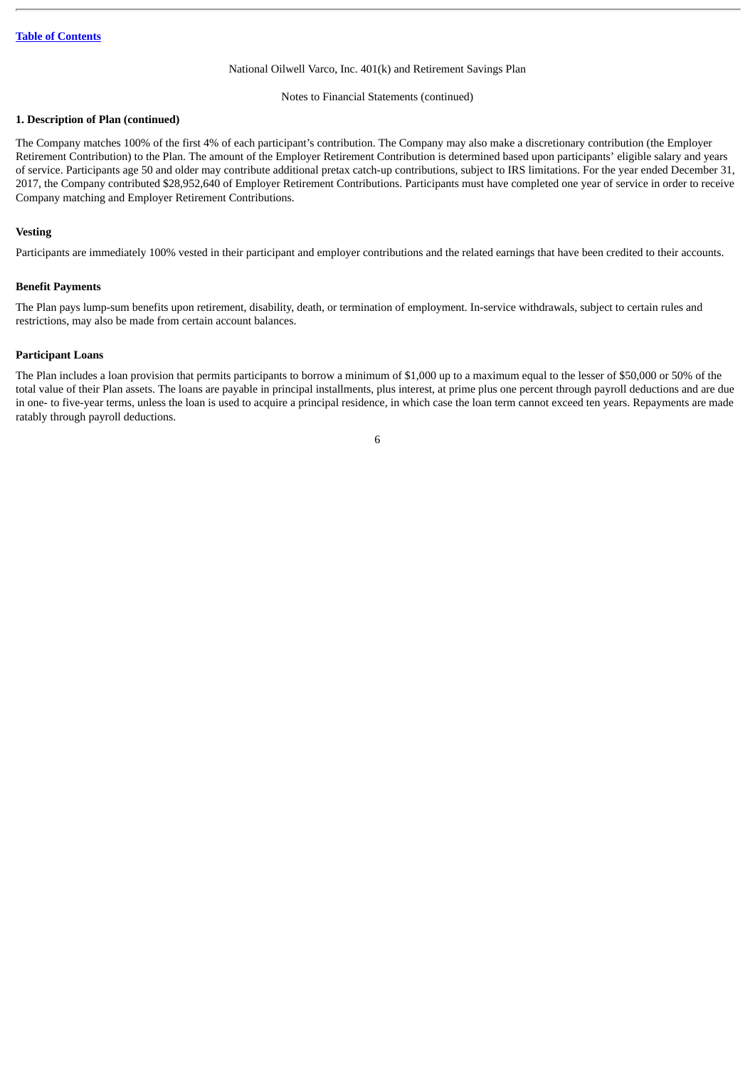#### Notes to Financial Statements (continued)

## **1. Description of Plan (continued)**

The Company matches 100% of the first 4% of each participant's contribution. The Company may also make a discretionary contribution (the Employer Retirement Contribution) to the Plan. The amount of the Employer Retirement Contribution is determined based upon participants' eligible salary and years of service. Participants age 50 and older may contribute additional pretax catch-up contributions, subject to IRS limitations. For the year ended December 31, 2017, the Company contributed \$28,952,640 of Employer Retirement Contributions. Participants must have completed one year of service in order to receive Company matching and Employer Retirement Contributions.

### **Vesting**

Participants are immediately 100% vested in their participant and employer contributions and the related earnings that have been credited to their accounts.

#### **Benefit Payments**

The Plan pays lump-sum benefits upon retirement, disability, death, or termination of employment. In-service withdrawals, subject to certain rules and restrictions, may also be made from certain account balances.

## **Participant Loans**

The Plan includes a loan provision that permits participants to borrow a minimum of \$1,000 up to a maximum equal to the lesser of \$50,000 or 50% of the total value of their Plan assets. The loans are payable in principal installments, plus interest, at prime plus one percent through payroll deductions and are due in one- to five-year terms, unless the loan is used to acquire a principal residence, in which case the loan term cannot exceed ten years. Repayments are made ratably through payroll deductions.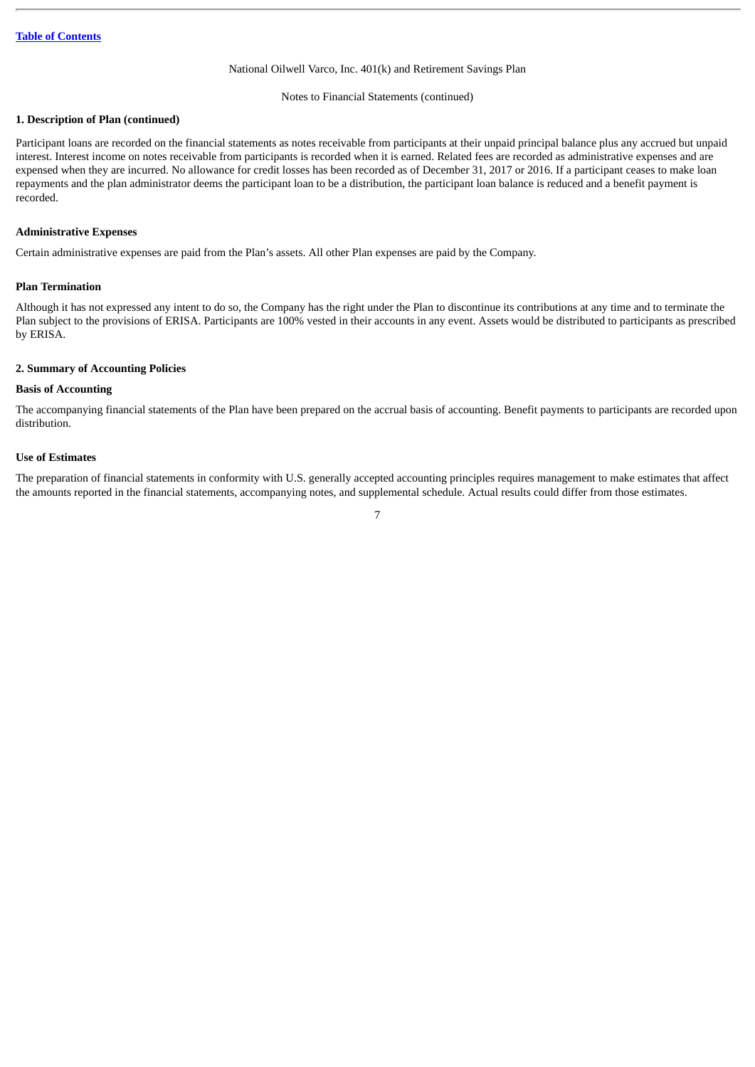#### Notes to Financial Statements (continued)

## **1. Description of Plan (continued)**

Participant loans are recorded on the financial statements as notes receivable from participants at their unpaid principal balance plus any accrued but unpaid interest. Interest income on notes receivable from participants is recorded when it is earned. Related fees are recorded as administrative expenses and are expensed when they are incurred. No allowance for credit losses has been recorded as of December 31, 2017 or 2016. If a participant ceases to make loan repayments and the plan administrator deems the participant loan to be a distribution, the participant loan balance is reduced and a benefit payment is recorded.

## **Administrative Expenses**

Certain administrative expenses are paid from the Plan's assets. All other Plan expenses are paid by the Company.

## **Plan Termination**

Although it has not expressed any intent to do so, the Company has the right under the Plan to discontinue its contributions at any time and to terminate the Plan subject to the provisions of ERISA. Participants are 100% vested in their accounts in any event. Assets would be distributed to participants as prescribed by ERISA.

## **2. Summary of Accounting Policies**

#### **Basis of Accounting**

The accompanying financial statements of the Plan have been prepared on the accrual basis of accounting. Benefit payments to participants are recorded upon distribution.

### **Use of Estimates**

The preparation of financial statements in conformity with U.S. generally accepted accounting principles requires management to make estimates that affect the amounts reported in the financial statements, accompanying notes, and supplemental schedule. Actual results could differ from those estimates.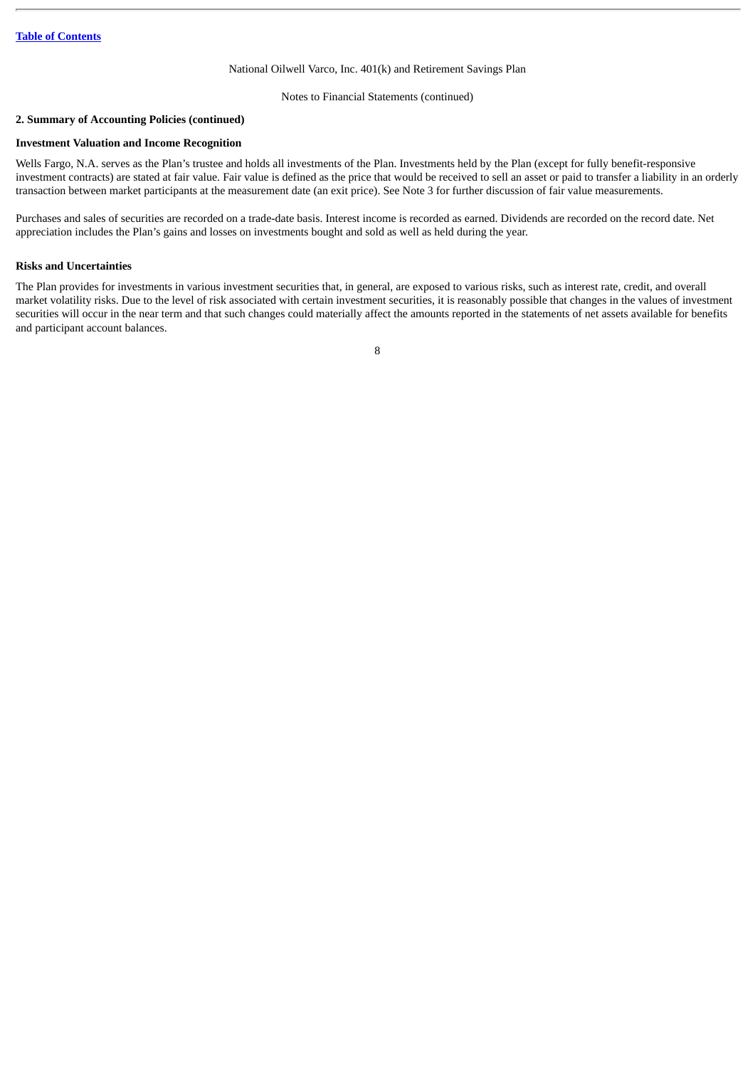Notes to Financial Statements (continued)

## **2. Summary of Accounting Policies (continued)**

## **Investment Valuation and Income Recognition**

Wells Fargo, N.A. serves as the Plan's trustee and holds all investments of the Plan. Investments held by the Plan (except for fully benefit-responsive investment contracts) are stated at fair value. Fair value is defined as the price that would be received to sell an asset or paid to transfer a liability in an orderly transaction between market participants at the measurement date (an exit price). See Note 3 for further discussion of fair value measurements.

Purchases and sales of securities are recorded on a trade-date basis. Interest income is recorded as earned. Dividends are recorded on the record date. Net appreciation includes the Plan's gains and losses on investments bought and sold as well as held during the year.

### **Risks and Uncertainties**

The Plan provides for investments in various investment securities that, in general, are exposed to various risks, such as interest rate, credit, and overall market volatility risks. Due to the level of risk associated with certain investment securities, it is reasonably possible that changes in the values of investment securities will occur in the near term and that such changes could materially affect the amounts reported in the statements of net assets available for benefits and participant account balances.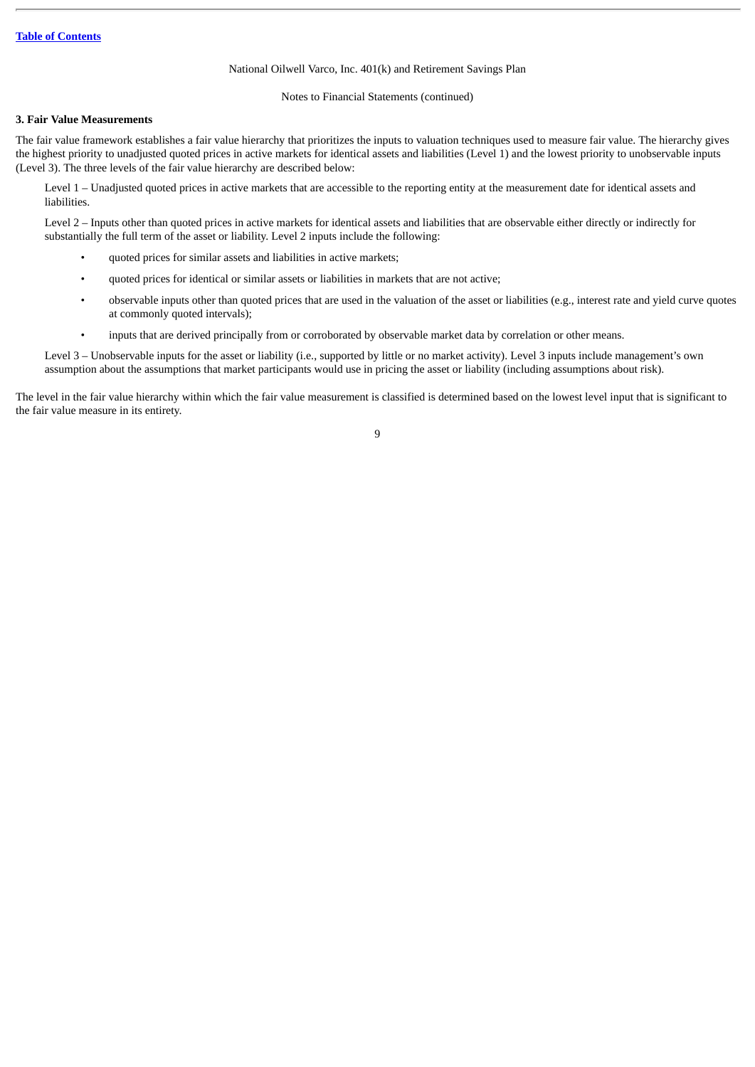### Notes to Financial Statements (continued)

#### **3. Fair Value Measurements**

The fair value framework establishes a fair value hierarchy that prioritizes the inputs to valuation techniques used to measure fair value. The hierarchy gives the highest priority to unadjusted quoted prices in active markets for identical assets and liabilities (Level 1) and the lowest priority to unobservable inputs (Level 3). The three levels of the fair value hierarchy are described below:

Level 1 – Unadjusted quoted prices in active markets that are accessible to the reporting entity at the measurement date for identical assets and liabilities.

Level 2 – Inputs other than quoted prices in active markets for identical assets and liabilities that are observable either directly or indirectly for substantially the full term of the asset or liability. Level 2 inputs include the following:

- quoted prices for similar assets and liabilities in active markets;
- quoted prices for identical or similar assets or liabilities in markets that are not active;
- observable inputs other than quoted prices that are used in the valuation of the asset or liabilities (e.g., interest rate and yield curve quotes at commonly quoted intervals);
- inputs that are derived principally from or corroborated by observable market data by correlation or other means.

Level 3 – Unobservable inputs for the asset or liability (i.e., supported by little or no market activity). Level 3 inputs include management's own assumption about the assumptions that market participants would use in pricing the asset or liability (including assumptions about risk).

The level in the fair value hierarchy within which the fair value measurement is classified is determined based on the lowest level input that is significant to the fair value measure in its entirety.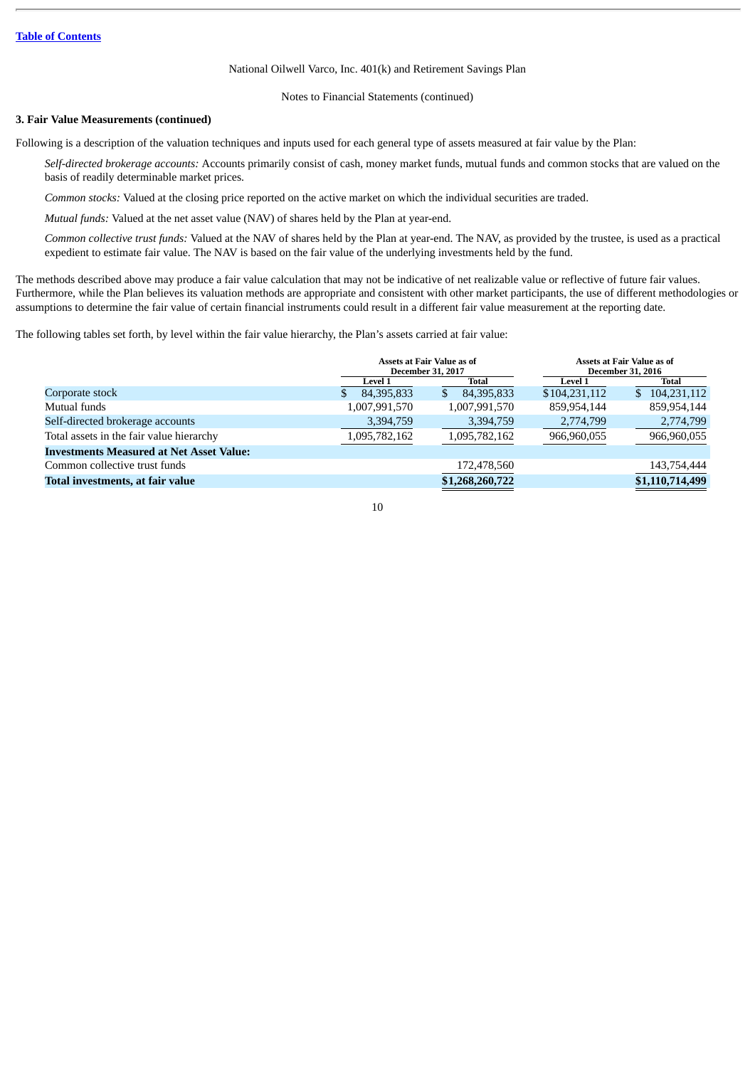Notes to Financial Statements (continued)

## **3. Fair Value Measurements (continued)**

Following is a description of the valuation techniques and inputs used for each general type of assets measured at fair value by the Plan:

*Self-directed brokerage accounts:* Accounts primarily consist of cash, money market funds, mutual funds and common stocks that are valued on the basis of readily determinable market prices.

*Common stocks:* Valued at the closing price reported on the active market on which the individual securities are traded.

*Mutual funds:* Valued at the net asset value (NAV) of shares held by the Plan at year-end.

*Common collective trust funds:* Valued at the NAV of shares held by the Plan at year-end. The NAV, as provided by the trustee, is used as a practical expedient to estimate fair value. The NAV is based on the fair value of the underlying investments held by the fund.

The methods described above may produce a fair value calculation that may not be indicative of net realizable value or reflective of future fair values. Furthermore, while the Plan believes its valuation methods are appropriate and consistent with other market participants, the use of different methodologies or assumptions to determine the fair value of certain financial instruments could result in a different fair value measurement at the reporting date.

The following tables set forth, by level within the fair value hierarchy, the Plan's assets carried at fair value:

| Assets at Fair Value as of<br><b>December 31, 2017</b> |                 |                |                 | Assets at Fair Value as of<br><b>December 31, 2016</b> |  |  |
|--------------------------------------------------------|-----------------|----------------|-----------------|--------------------------------------------------------|--|--|
| <b>Level 1</b>                                         | <b>Total</b>    | <b>Level 1</b> | Total           |                                                        |  |  |
| 84,395,833                                             | 84,395,833      | \$104,231,112  | \$104,231,112   |                                                        |  |  |
| 1,007,991,570                                          | 1,007,991,570   | 859,954,144    | 859,954,144     |                                                        |  |  |
| 3,394,759                                              | 3,394,759       | 2,774,799      | 2,774,799       |                                                        |  |  |
| 1,095,782,162                                          | 1,095,782,162   | 966,960,055    | 966,960,055     |                                                        |  |  |
|                                                        |                 |                |                 |                                                        |  |  |
|                                                        | 172,478,560     |                | 143,754,444     |                                                        |  |  |
|                                                        | \$1,268,260,722 |                | \$1,110,714,499 |                                                        |  |  |
|                                                        |                 |                |                 |                                                        |  |  |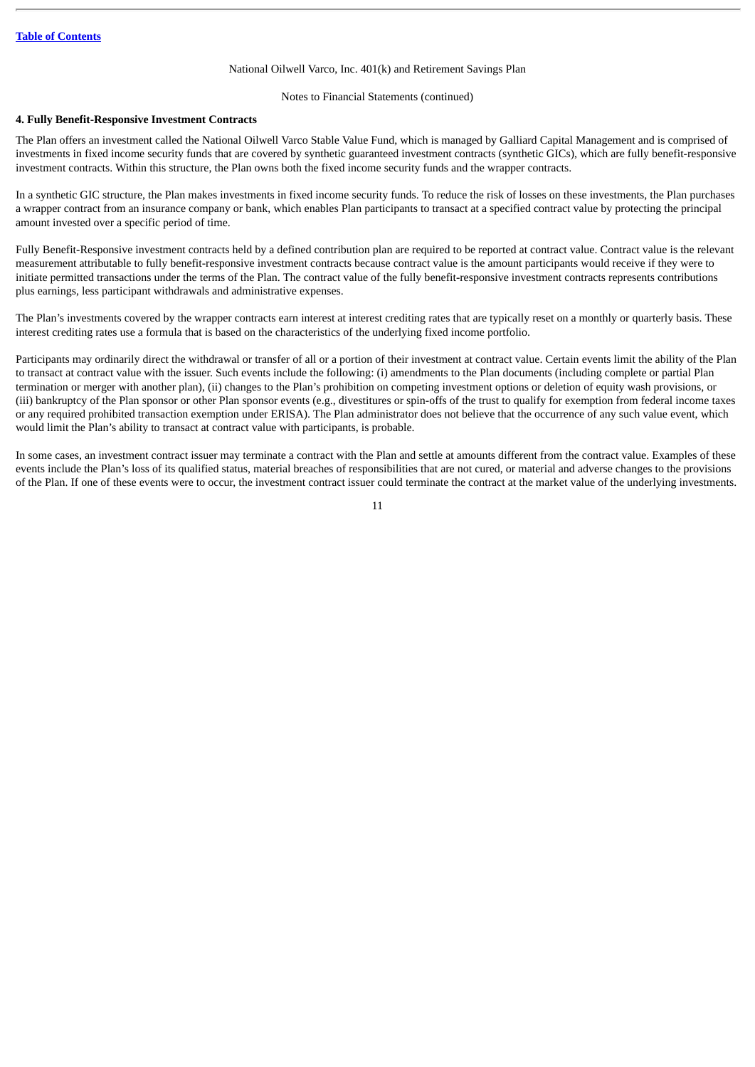#### Notes to Financial Statements (continued)

### **4. Fully Benefit-Responsive Investment Contracts**

The Plan offers an investment called the National Oilwell Varco Stable Value Fund, which is managed by Galliard Capital Management and is comprised of investments in fixed income security funds that are covered by synthetic guaranteed investment contracts (synthetic GICs), which are fully benefit-responsive investment contracts. Within this structure, the Plan owns both the fixed income security funds and the wrapper contracts.

In a synthetic GIC structure, the Plan makes investments in fixed income security funds. To reduce the risk of losses on these investments, the Plan purchases a wrapper contract from an insurance company or bank, which enables Plan participants to transact at a specified contract value by protecting the principal amount invested over a specific period of time.

Fully Benefit-Responsive investment contracts held by a defined contribution plan are required to be reported at contract value. Contract value is the relevant measurement attributable to fully benefit-responsive investment contracts because contract value is the amount participants would receive if they were to initiate permitted transactions under the terms of the Plan. The contract value of the fully benefit-responsive investment contracts represents contributions plus earnings, less participant withdrawals and administrative expenses.

The Plan's investments covered by the wrapper contracts earn interest at interest crediting rates that are typically reset on a monthly or quarterly basis. These interest crediting rates use a formula that is based on the characteristics of the underlying fixed income portfolio.

Participants may ordinarily direct the withdrawal or transfer of all or a portion of their investment at contract value. Certain events limit the ability of the Plan to transact at contract value with the issuer. Such events include the following: (i) amendments to the Plan documents (including complete or partial Plan termination or merger with another plan), (ii) changes to the Plan's prohibition on competing investment options or deletion of equity wash provisions, or (iii) bankruptcy of the Plan sponsor or other Plan sponsor events (e.g., divestitures or spin-offs of the trust to qualify for exemption from federal income taxes or any required prohibited transaction exemption under ERISA). The Plan administrator does not believe that the occurrence of any such value event, which would limit the Plan's ability to transact at contract value with participants, is probable.

In some cases, an investment contract issuer may terminate a contract with the Plan and settle at amounts different from the contract value. Examples of these events include the Plan's loss of its qualified status, material breaches of responsibilities that are not cured, or material and adverse changes to the provisions of the Plan. If one of these events were to occur, the investment contract issuer could terminate the contract at the market value of the underlying investments.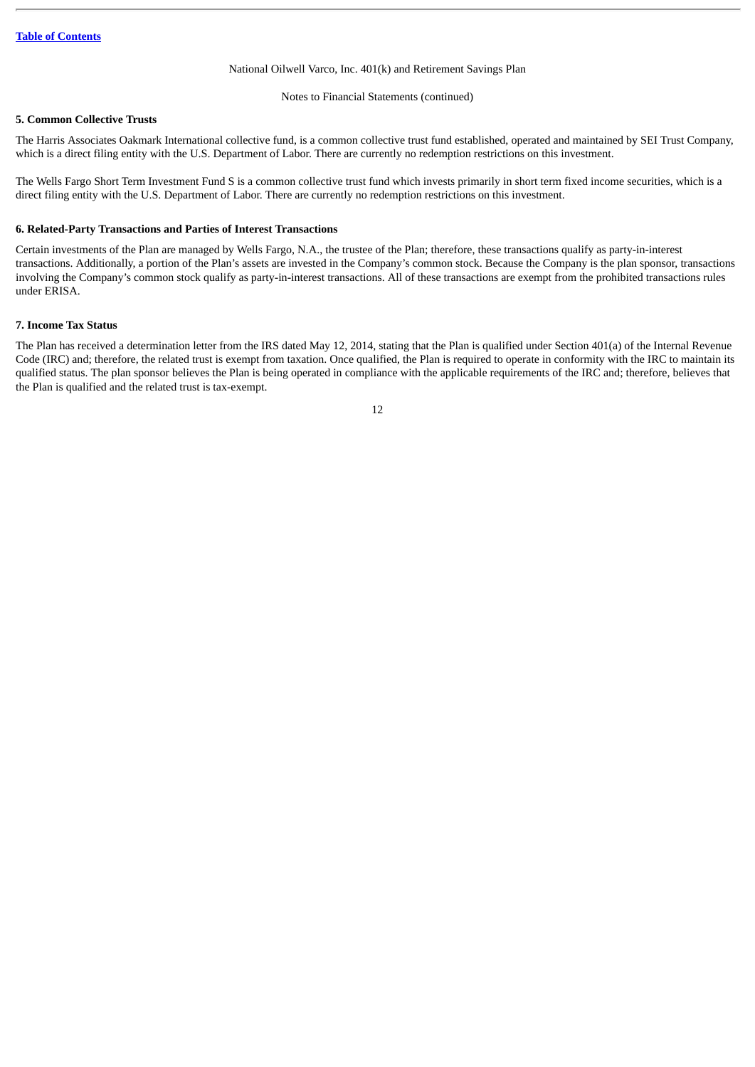Notes to Financial Statements (continued)

## **5. Common Collective Trusts**

The Harris Associates Oakmark International collective fund, is a common collective trust fund established, operated and maintained by SEI Trust Company, which is a direct filing entity with the U.S. Department of Labor. There are currently no redemption restrictions on this investment.

The Wells Fargo Short Term Investment Fund S is a common collective trust fund which invests primarily in short term fixed income securities, which is a direct filing entity with the U.S. Department of Labor. There are currently no redemption restrictions on this investment.

## **6. Related-Party Transactions and Parties of Interest Transactions**

Certain investments of the Plan are managed by Wells Fargo, N.A., the trustee of the Plan; therefore, these transactions qualify as party-in-interest transactions. Additionally, a portion of the Plan's assets are invested in the Company's common stock. Because the Company is the plan sponsor, transactions involving the Company's common stock qualify as party-in-interest transactions. All of these transactions are exempt from the prohibited transactions rules under ERISA.

## **7. Income Tax Status**

The Plan has received a determination letter from the IRS dated May 12, 2014, stating that the Plan is qualified under Section 401(a) of the Internal Revenue Code (IRC) and; therefore, the related trust is exempt from taxation. Once qualified, the Plan is required to operate in conformity with the IRC to maintain its qualified status. The plan sponsor believes the Plan is being operated in compliance with the applicable requirements of the IRC and; therefore, believes that the Plan is qualified and the related trust is tax-exempt.

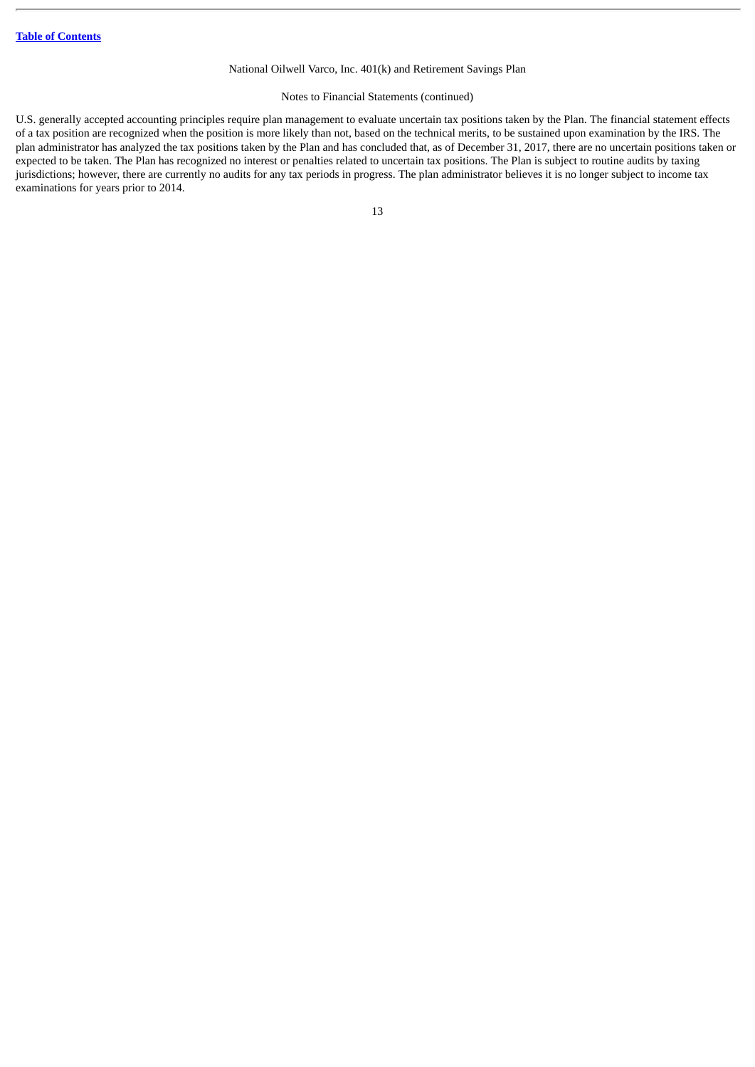## Notes to Financial Statements (continued)

U.S. generally accepted accounting principles require plan management to evaluate uncertain tax positions taken by the Plan. The financial statement effects of a tax position are recognized when the position is more likely than not, based on the technical merits, to be sustained upon examination by the IRS. The plan administrator has analyzed the tax positions taken by the Plan and has concluded that, as of December 31, 2017, there are no uncertain positions taken or expected to be taken. The Plan has recognized no interest or penalties related to uncertain tax positions. The Plan is subject to routine audits by taxing jurisdictions; however, there are currently no audits for any tax periods in progress. The plan administrator believes it is no longer subject to income tax examinations for years prior to 2014.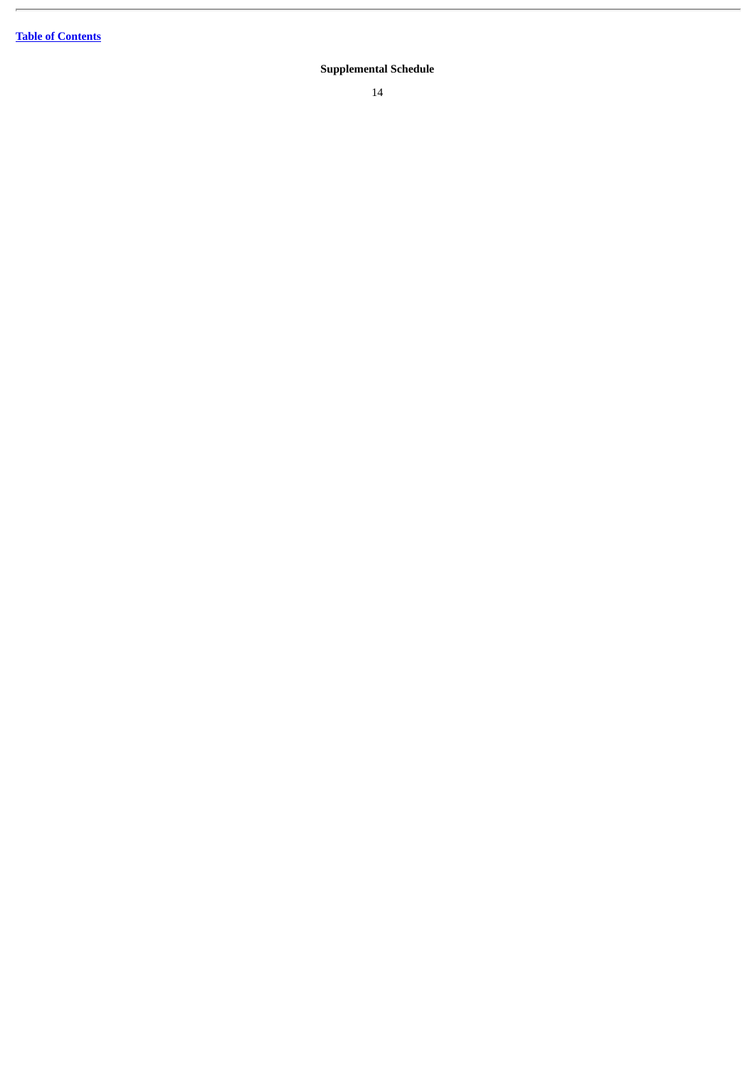#### <span id="page-17-0"></span>**Supplemental Schedule**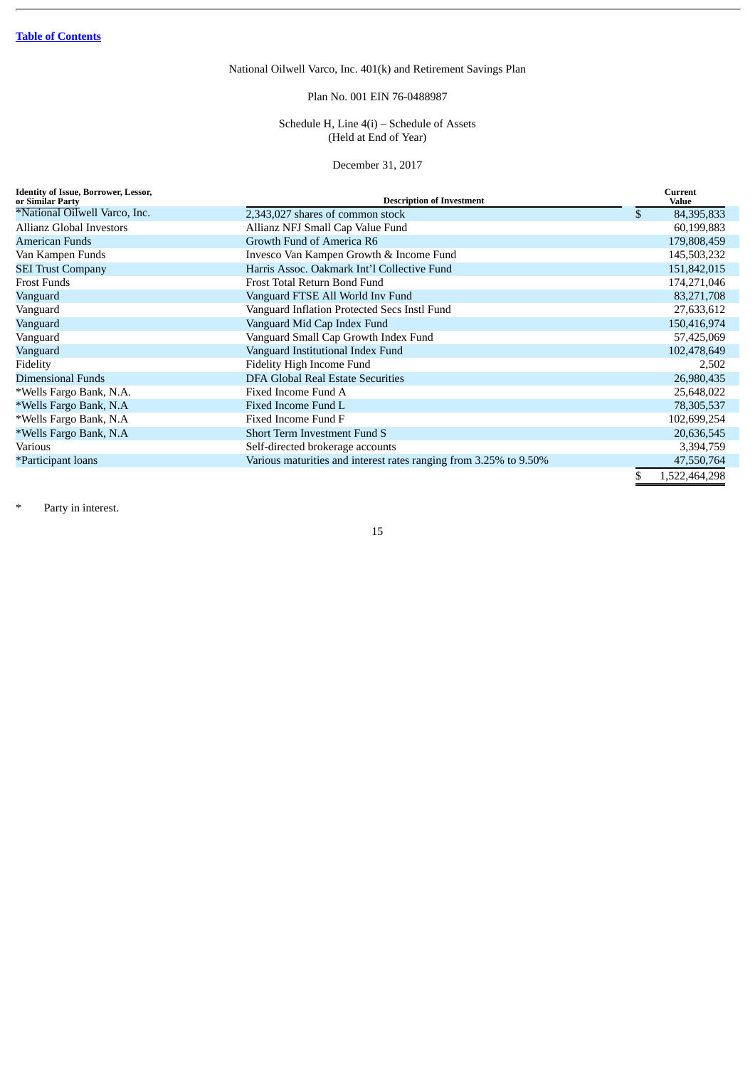## Plan No. 001 EIN 76-0488987

## Schedule H, Line 4(i) – Schedule of Assets (Held at End of Year)

December 31, 2017

<span id="page-18-0"></span>

| <b>Identity of Issue, Borrower, Lessor,</b><br>or Similar Party | <b>Description of Investment</b>                                  | Current<br>Value    |
|-----------------------------------------------------------------|-------------------------------------------------------------------|---------------------|
| *National Oilwell Varco, Inc.                                   | 2,343,027 shares of common stock                                  | \$<br>84,395,833    |
| Allianz Global Investors                                        | Allianz NFJ Small Cap Value Fund                                  | 60,199,883          |
| <b>American Funds</b>                                           | Growth Fund of America R6                                         | 179,808,459         |
| Van Kampen Funds                                                | Invesco Van Kampen Growth & Income Fund                           | 145,503,232         |
| <b>SEI Trust Company</b>                                        | Harris Assoc. Oakmark Int'l Collective Fund                       | 151,842,015         |
| <b>Frost Funds</b>                                              | Frost Total Return Bond Fund                                      | 174,271,046         |
| Vanguard                                                        | Vanguard FTSE All World Inv Fund                                  | 83,271,708          |
| Vanguard                                                        | Vanguard Inflation Protected Secs Instl Fund                      | 27,633,612          |
| Vanguard                                                        | Vanguard Mid Cap Index Fund                                       | 150,416,974         |
| Vanguard                                                        | Vanguard Small Cap Growth Index Fund                              | 57,425,069          |
| Vanguard                                                        | Vanguard Institutional Index Fund                                 | 102,478,649         |
| Fidelity                                                        | Fidelity High Income Fund                                         | 2,502               |
| <b>Dimensional Funds</b>                                        | <b>DFA Global Real Estate Securities</b>                          | 26,980,435          |
| *Wells Fargo Bank, N.A.                                         | Fixed Income Fund A                                               | 25,648,022          |
| *Wells Fargo Bank, N.A.                                         | Fixed Income Fund L                                               | 78,305,537          |
| *Wells Fargo Bank, N.A                                          | Fixed Income Fund F                                               | 102,699,254         |
| *Wells Fargo Bank, N.A                                          | <b>Short Term Investment Fund S</b>                               | 20,636,545          |
| <b>Various</b>                                                  | Self-directed brokerage accounts                                  | 3,394,759           |
| *Participant loans                                              | Various maturities and interest rates ranging from 3.25% to 9.50% | 47,550,764          |
|                                                                 |                                                                   | \$<br>1,522,464,298 |

\* Party in interest.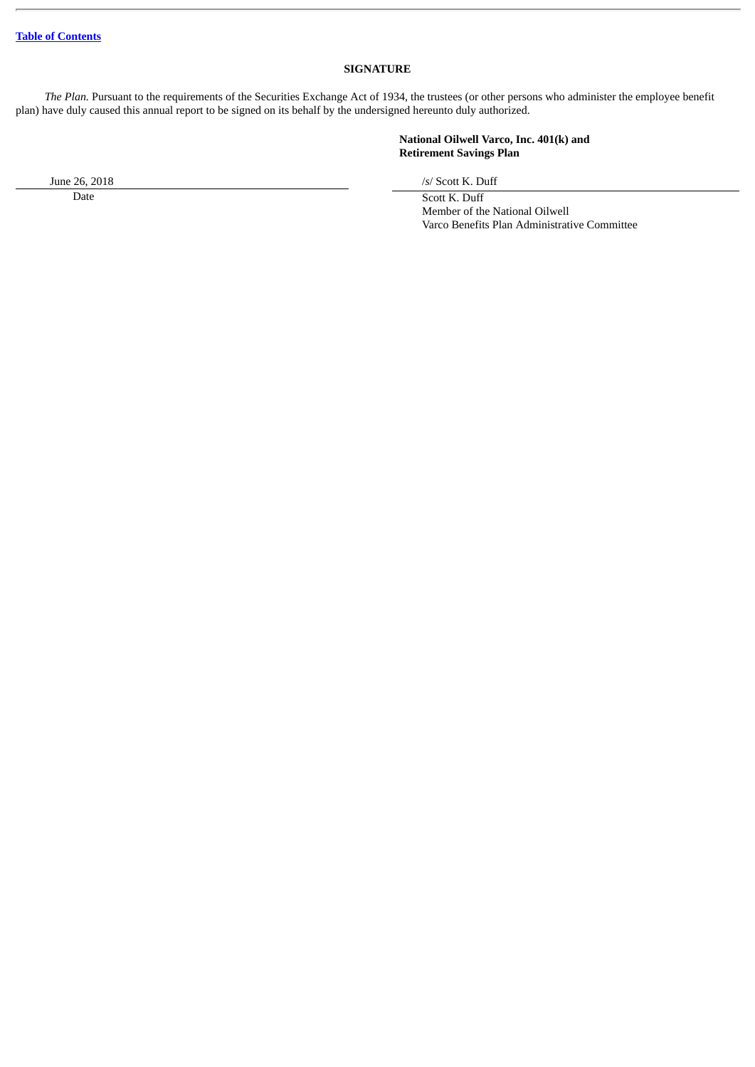## **SIGNATURE**

*The Plan.* Pursuant to the requirements of the Securities Exchange Act of 1934, the trustees (or other persons who administer the employee benefit plan) have duly caused this annual report to be signed on its behalf by the undersigned hereunto duly authorized.

## **National Oilwell Varco, Inc. 401(k) and Retirement Savings Plan**

June 26, 2018 /*s*/ Scott K. Duff

Date Scott K. Duff Member of the National Oilwell Varco Benefits Plan Administrative Committee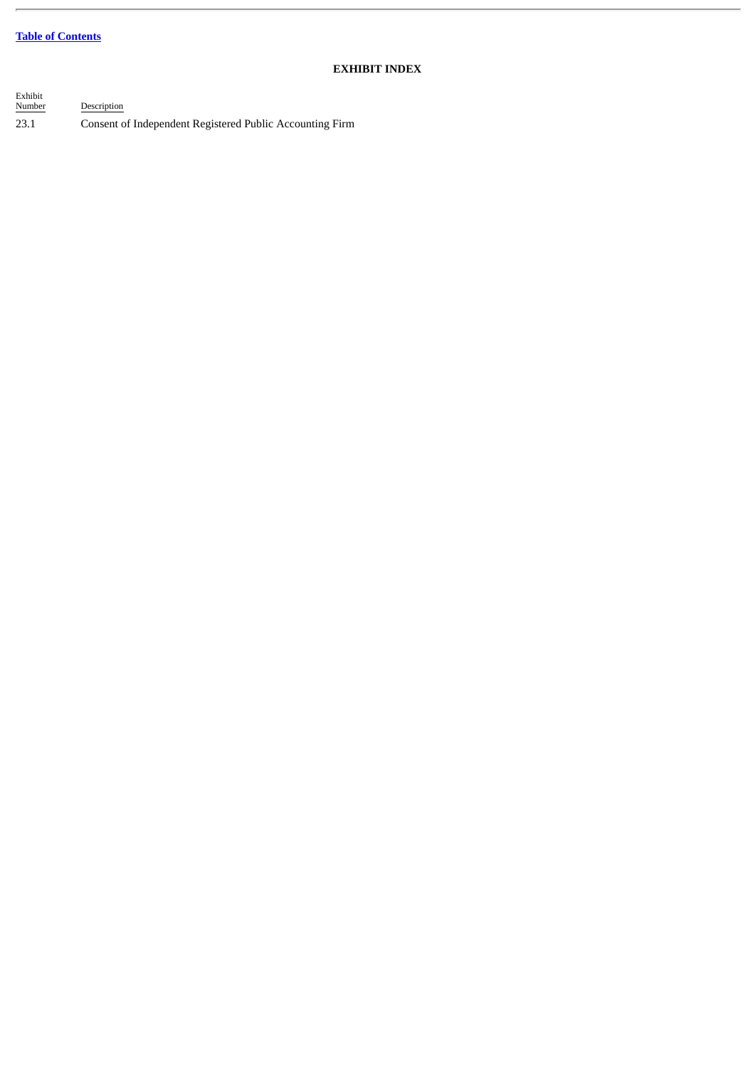## **Table of [Contents](#page-3-0)**

 $\overline{a}$ 

## **EXHIBIT INDEX**

| Exhibit<br>Number | Description                                              |
|-------------------|----------------------------------------------------------|
| 23.1              | Consent of Independent Registered Public Accounting Firm |